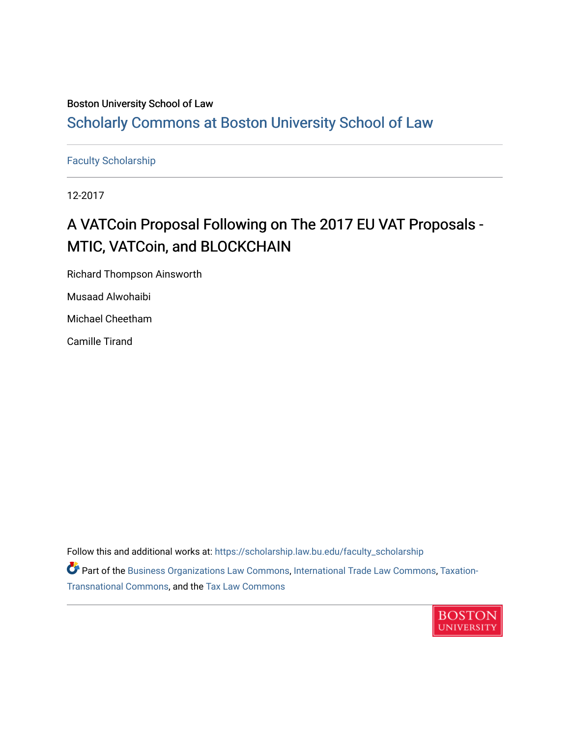## Boston University School of Law

# [Scholarly Commons at Boston University School of Law](https://scholarship.law.bu.edu/)

[Faculty Scholarship](https://scholarship.law.bu.edu/faculty_scholarship)

12-2017

# A VATCoin Proposal Following on The 2017 EU VAT Proposals -MTIC, VATCoin, and BLOCKCHAIN

Richard Thompson Ainsworth

Musaad Alwohaibi

Michael Cheetham

Camille Tirand

Follow this and additional works at: [https://scholarship.law.bu.edu/faculty\\_scholarship](https://scholarship.law.bu.edu/faculty_scholarship?utm_source=scholarship.law.bu.edu%2Ffaculty_scholarship%2F1413&utm_medium=PDF&utm_campaign=PDFCoverPages)

Part of the [Business Organizations Law Commons](http://network.bepress.com/hgg/discipline/900?utm_source=scholarship.law.bu.edu%2Ffaculty_scholarship%2F1413&utm_medium=PDF&utm_campaign=PDFCoverPages), [International Trade Law Commons,](http://network.bepress.com/hgg/discipline/848?utm_source=scholarship.law.bu.edu%2Ffaculty_scholarship%2F1413&utm_medium=PDF&utm_campaign=PDFCoverPages) [Taxation-](http://network.bepress.com/hgg/discipline/883?utm_source=scholarship.law.bu.edu%2Ffaculty_scholarship%2F1413&utm_medium=PDF&utm_campaign=PDFCoverPages)[Transnational Commons](http://network.bepress.com/hgg/discipline/883?utm_source=scholarship.law.bu.edu%2Ffaculty_scholarship%2F1413&utm_medium=PDF&utm_campaign=PDFCoverPages), and the [Tax Law Commons](http://network.bepress.com/hgg/discipline/898?utm_source=scholarship.law.bu.edu%2Ffaculty_scholarship%2F1413&utm_medium=PDF&utm_campaign=PDFCoverPages) 

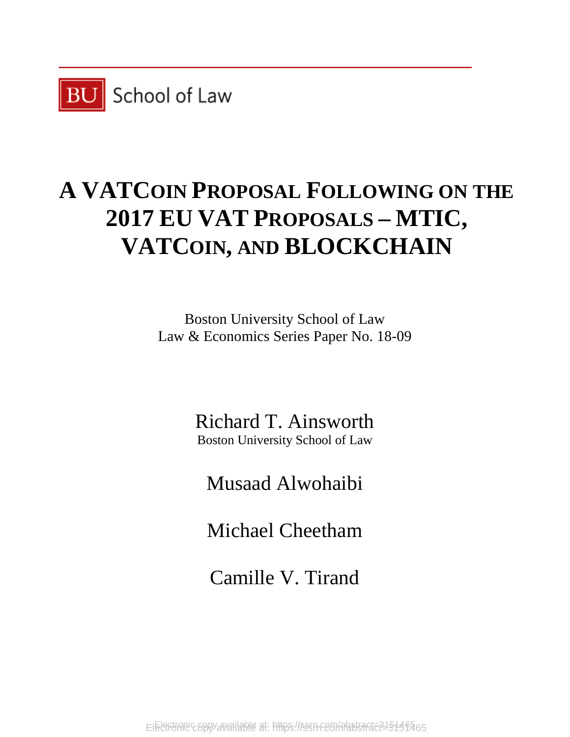

# **A VATCOIN PROPOSAL FOLLOWING ON THE 2017 EU VAT PROPOSALS – MTIC, VATCOIN, AND BLOCKCHAIN**

Boston University School of Law Law & Economics Series Paper No. 18-09

> Richard T. Ainsworth Boston University School of Law

Musaad Alwohaibi

Michael Cheetham

Camille V. Tirand

Electronic copy available at: https://ssrn.com/abstract=215146465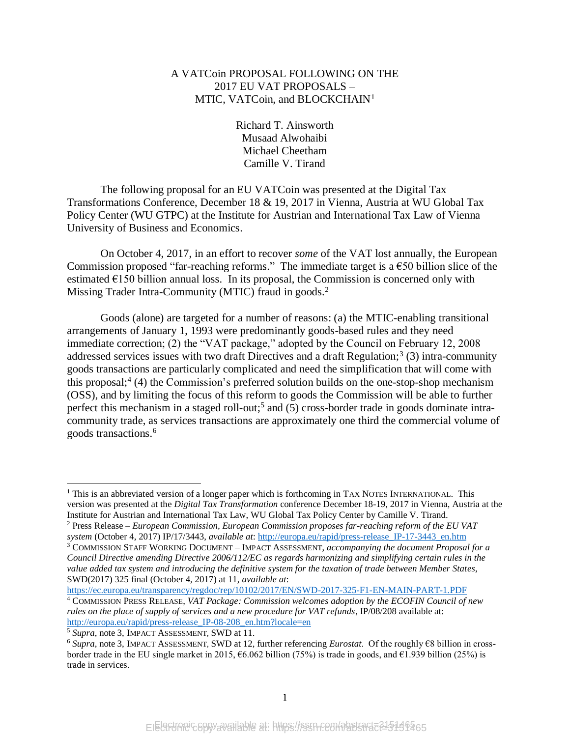## A VATCoin PROPOSAL FOLLOWING ON THE 2017 EU VAT PROPOSALS – MTIC, VATCoin, and BLOCKCHAIN<sup>1</sup>

<span id="page-2-0"></span>Richard T. Ainsworth Musaad Alwohaibi Michael Cheetham Camille V. Tirand

The following proposal for an EU VATCoin was presented at the Digital Tax Transformations Conference, December 18 & 19, 2017 in Vienna, Austria at WU Global Tax Policy Center (WU GTPC) at the Institute for Austrian and International Tax Law of Vienna University of Business and Economics.

On October 4, 2017, in an effort to recover *some* of the VAT lost annually, the European Commission proposed "far-reaching reforms." The immediate target is a  $\epsilon$ 50 billion slice of the estimated  $E$ 150 billion annual loss. In its proposal, the Commission is concerned only with Missing Trader Intra-Community (MTIC) fraud in goods.<sup>2</sup>

Goods (alone) are targeted for a number of reasons: (a) the MTIC-enabling transitional arrangements of January 1, 1993 were predominantly goods-based rules and they need immediate correction; (2) the "VAT package," adopted by the Council on February 12, 2008 addressed services issues with two draft Directives and a draft Regulation;<sup>3</sup> (3) intra-community goods transactions are particularly complicated and need the simplification that will come with this proposal; 4 (4) the Commission's preferred solution builds on the one-stop-shop mechanism (OSS), and by limiting the focus of this reform to goods the Commission will be able to further perfect this mechanism in a staged roll-out;<sup>5</sup> and (5) cross-border trade in goods dominate intracommunity trade, as services transactions are approximately one third the commercial volume of goods transactions. 6

<https://ec.europa.eu/transparency/regdoc/rep/10102/2017/EN/SWD-2017-325-F1-EN-MAIN-PART-1.PDF>

 $1$  This is an abbreviated version of a longer paper which is forthcoming in TAX NOTES INTERNATIONAL. This version was presented at the *Digital Tax Transformation* conference December 18-19, 2017 in Vienna, Austria at the Institute for Austrian and International Tax Law, WU Global Tax Policy Center by Camille V. Tirand.

<sup>2</sup> Press Release – *European Commission, European Commission proposes far-reaching reform of the EU VAT system* (October 4, 2017) IP/17/3443, *available at*: [http://europa.eu/rapid/press-release\\_IP-17-3443\\_en.htm](http://europa.eu/rapid/press-release_IP-17-3443_en.htm)

<sup>3</sup> COMMISSION STAFF WORKING DOCUMENT – IMPACT ASSESSMENT, *accompanying the document Proposal for a Council Directive amending Directive 2006/112/EC as regards harmonizing and simplifying certain rules in the value added tax system and introducing the definitive system for the taxation of trade between Member States*, SWD(2017) 325 final (October 4, 2017) at 11, *available at*:

<sup>4</sup> COMMISSION PRESS RELEASE, *VAT Package: Commission welcomes adoption by the ECOFIN Council of new rules on the place of supply of services and a new procedure for VAT refunds*, IP/08/208 available at: http://europa.eu/rapid/press-release IP-08-208 en.htm?locale=en

<sup>5</sup> *Supra*, note [3,](#page-2-0) IMPACT ASSESSMENT, SWD at 11.

<sup>6</sup> *Supra*, note [3,](#page-2-0) IMPACT ASSESSMENT, SWD at 12, further referencing *Eurostat*. Of the roughly €8 billion in crossborder trade in the EU single market in 2015, €6.062 billion (75%) is trade in goods, and €1.939 billion (25%) is trade in services.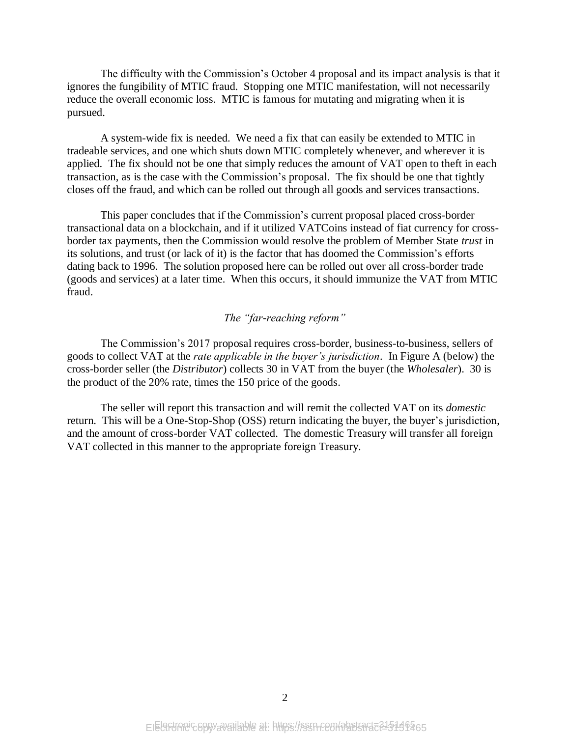The difficulty with the Commission's October 4 proposal and its impact analysis is that it ignores the fungibility of MTIC fraud. Stopping one MTIC manifestation, will not necessarily reduce the overall economic loss. MTIC is famous for mutating and migrating when it is pursued.

A system-wide fix is needed. We need a fix that can easily be extended to MTIC in tradeable services, and one which shuts down MTIC completely whenever, and wherever it is applied. The fix should not be one that simply reduces the amount of VAT open to theft in each transaction, as is the case with the Commission's proposal. The fix should be one that tightly closes off the fraud, and which can be rolled out through all goods and services transactions.

This paper concludes that if the Commission's current proposal placed cross-border transactional data on a blockchain, and if it utilized VATCoins instead of fiat currency for crossborder tax payments, then the Commission would resolve the problem of Member State *trust* in its solutions, and trust (or lack of it) is the factor that has doomed the Commission's efforts dating back to 1996. The solution proposed here can be rolled out over all cross-border trade (goods and services) at a later time. When this occurs, it should immunize the VAT from MTIC fraud.

#### *The "far-reaching reform"*

The Commission's 2017 proposal requires cross-border, business-to-business, sellers of goods to collect VAT at the *rate applicable in the buyer's jurisdiction*. In Figure A (below) the cross-border seller (the *Distributor*) collects 30 in VAT from the buyer (the *Wholesaler*). 30 is the product of the 20% rate, times the 150 price of the goods.

The seller will report this transaction and will remit the collected VAT on its *domestic* return. This will be a One-Stop-Shop (OSS) return indicating the buyer, the buyer's jurisdiction, and the amount of cross-border VAT collected. The domestic Treasury will transfer all foreign VAT collected in this manner to the appropriate foreign Treasury.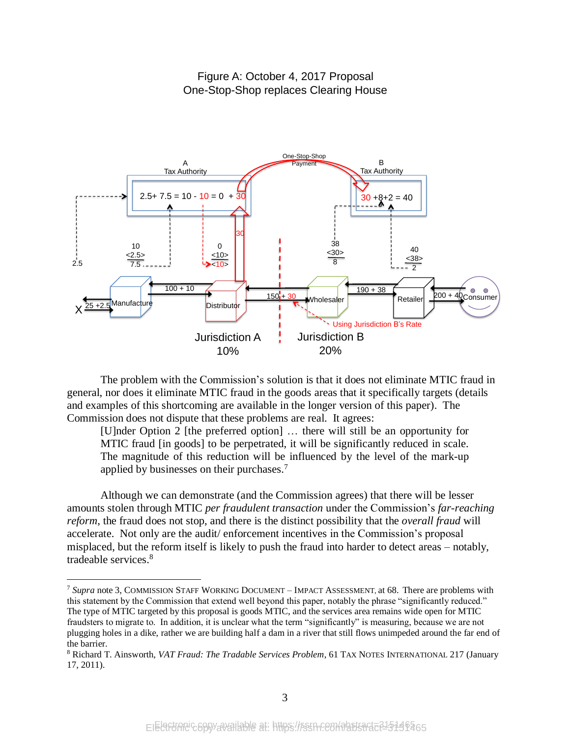# Figure A: October 4, 2017 Proposal One-Stop-Shop replaces Clearing House



The problem with the Commission's solution is that it does not eliminate MTIC fraud in general, nor does it eliminate MTIC fraud in the goods areas that it specifically targets (details and examples of this shortcoming are available in the longer version of this paper). The Commission does not dispute that these problems are real. It agrees:

[U]nder Option 2 [the preferred option] … there will still be an opportunity for MTIC fraud [in goods] to be perpetrated, it will be significantly reduced in scale. The magnitude of this reduction will be influenced by the level of the mark-up applied by businesses on their purchases.<sup>7</sup>

Although we can demonstrate (and the Commission agrees) that there will be lesser amounts stolen through MTIC *per fraudulent transaction* under the Commission's *far-reaching reform*, the fraud does not stop, and there is the distinct possibility that the *overall fraud* will accelerate. Not only are the audit/ enforcement incentives in the Commission's proposal misplaced, but the reform itself is likely to push the fraud into harder to detect areas – notably, tradeable services. 8

<sup>7</sup> *Supra* note [3,](#page-2-0) COMMISSION STAFF WORKING DOCUMENT – IMPACT ASSESSMENT, at 68. There are problems with this statement by the Commission that extend well beyond this paper, notably the phrase "significantly reduced." The type of MTIC targeted by this proposal is goods MTIC, and the services area remains wide open for MTIC fraudsters to migrate to. In addition, it is unclear what the term "significantly" is measuring, because we are not plugging holes in a dike, rather we are building half a dam in a river that still flows unimpeded around the far end of the barrier.

<sup>8</sup> Richard T. Ainsworth, *VAT Fraud: The Tradable Services Problem*, 61 TAX NOTES INTERNATIONAL 217 (January 17, 2011).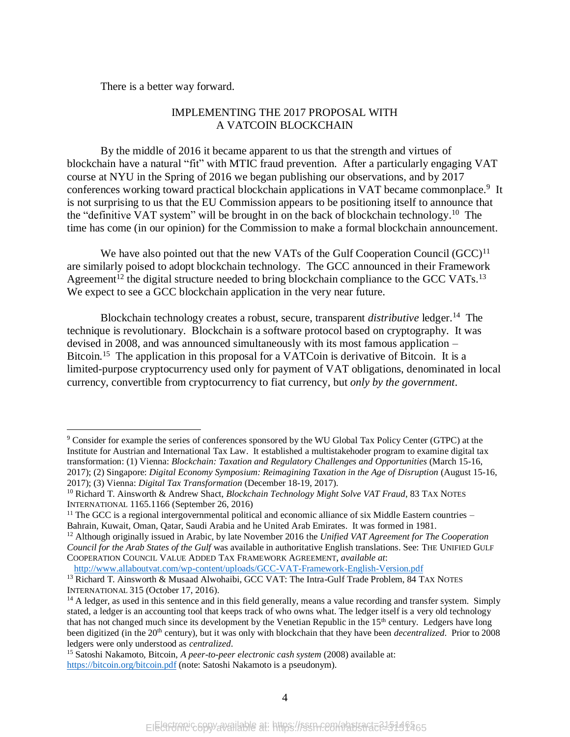There is a better way forward.

 $\overline{a}$ 

## IMPLEMENTING THE 2017 PROPOSAL WITH A VATCOIN BLOCKCHAIN

By the middle of 2016 it became apparent to us that the strength and virtues of blockchain have a natural "fit" with MTIC fraud prevention. After a particularly engaging VAT course at NYU in the Spring of 2016 we began publishing our observations, and by 2017 conferences working toward practical blockchain applications in VAT became commonplace.<sup>9</sup> It is not surprising to us that the EU Commission appears to be positioning itself to announce that the "definitive VAT system" will be brought in on the back of blockchain technology.<sup>10</sup> The time has come (in our opinion) for the Commission to make a formal blockchain announcement.

We have also pointed out that the new VATs of the Gulf Cooperation Council  $(GCC)^{11}$ are similarly poised to adopt blockchain technology. The GCC announced in their Framework Agreement<sup>12</sup> the digital structure needed to bring blockchain compliance to the GCC VATs.<sup>13</sup> We expect to see a GCC blockchain application in the very near future.

<span id="page-5-0"></span>Blockchain technology creates a robust, secure, transparent *distributive* ledger.<sup>14</sup> The technique is revolutionary. Blockchain is a software protocol based on cryptography. It was devised in 2008, and was announced simultaneously with its most famous application – Bitcoin.<sup>15</sup> The application in this proposal for a VATCoin is derivative of Bitcoin. It is a limited-purpose cryptocurrency used only for payment of VAT obligations, denominated in local currency, convertible from cryptocurrency to fiat currency, but *only by the government*.

<http://www.allaboutvat.com/wp-content/uploads/GCC-VAT-Framework-English-Version.pdf>

<sup>9</sup> Consider for example the series of conferences sponsored by the WU Global Tax Policy Center (GTPC) at the Institute for Austrian and International Tax Law. It established a multistakehoder program to examine digital tax transformation: (1) Vienna: *Blockchain: Taxation and Regulatory Challenges and Opportunities* (March 15-16, 2017); (2) Singapore: *Digital Economy Symposium: Reimagining Taxation in the Age of Disruption* (August 15-16, 2017); (3) Vienna: *Digital Tax Transformation* (December 18-19, 2017).

<sup>&</sup>lt;sup>10</sup> Richard T. Ainsworth & Andrew Shact, *Blockchain Technology Might Solve VAT Fraud*, 83 TAX NOTES INTERNATIONAL 1165.1166 (September 26, 2016)

<sup>&</sup>lt;sup>11</sup> The GCC is a regional intergovernmental political and economic alliance of six Middle Eastern countries – Bahrain, Kuwait, Oman, Qatar, Saudi Arabia and he United Arab Emirates. It was formed in 1981.

<sup>12</sup> Although originally issued in Arabic, by late November 2016 the *Unified VAT Agreement for The Cooperation Council for the Arab States of the Gulf* was available in authoritative English translations. See: THE UNIFIED GULF COOPERATION COUNCIL VALUE ADDED TAX FRAMEWORK AGREEMENT, *available at*:

<sup>&</sup>lt;sup>13</sup> Richard T. Ainsworth & Musaad Alwohaibi, GCC VAT: The Intra-Gulf Trade Problem, 84 TAX NOTES INTERNATIONAL 315 (October 17, 2016).

 $14$  A ledger, as used in this sentence and in this field generally, means a value recording and transfer system. Simply stated, a ledger is an accounting tool that keeps track of who owns what. The ledger itself is a very old technology that has not changed much since its development by the Venetian Republic in the 15<sup>th</sup> century. Ledgers have long been digitized (in the 20<sup>th</sup> century), but it was only with blockchain that they have been *decentralized*. Prior to 2008 ledgers were only understood as *centralized*.

<sup>15</sup> Satoshi Nakamoto, Bitcoin, *A peer-to-peer electronic cash system* (2008) available at: <https://bitcoin.org/bitcoin.pdf> (note: Satoshi Nakamoto is a pseudonym).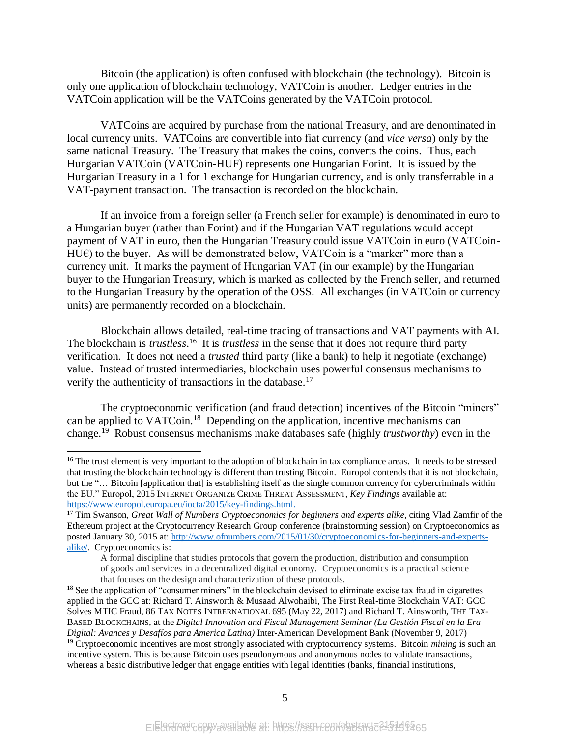Bitcoin (the application) is often confused with blockchain (the technology). Bitcoin is only one application of blockchain technology, VATCoin is another. Ledger entries in the VATCoin application will be the VATCoins generated by the VATCoin protocol.

VATCoins are acquired by purchase from the national Treasury, and are denominated in local currency units. VATCoins are convertible into fiat currency (and *vice versa*) only by the same national Treasury. The Treasury that makes the coins, converts the coins. Thus, each Hungarian VATCoin (VATCoin-HUF) represents one Hungarian Forint. It is issued by the Hungarian Treasury in a 1 for 1 exchange for Hungarian currency, and is only transferrable in a VAT-payment transaction. The transaction is recorded on the blockchain.

If an invoice from a foreign seller (a French seller for example) is denominated in euro to a Hungarian buyer (rather than Forint) and if the Hungarian VAT regulations would accept payment of VAT in euro, then the Hungarian Treasury could issue VATCoin in euro (VATCoin- $HUE$ ) to the buyer. As will be demonstrated below, VATCoin is a "marker" more than a currency unit. It marks the payment of Hungarian VAT (in our example) by the Hungarian buyer to the Hungarian Treasury, which is marked as collected by the French seller, and returned to the Hungarian Treasury by the operation of the OSS. All exchanges (in VATCoin or currency units) are permanently recorded on a blockchain.

Blockchain allows detailed, real-time tracing of transactions and VAT payments with AI. The blockchain is *trustless*.<sup>16</sup> It is *trustless* in the sense that it does not require third party verification. It does not need a *trusted* third party (like a bank) to help it negotiate (exchange) value. Instead of trusted intermediaries, blockchain uses powerful consensus mechanisms to verify the authenticity of transactions in the database.<sup>17</sup>

<span id="page-6-0"></span>The cryptoeconomic verification (and fraud detection) incentives of the Bitcoin "miners" can be applied to VATCoin.<sup>18</sup> Depending on the application, incentive mechanisms can change.<sup>19</sup> Robust consensus mechanisms make databases safe (highly *trustworthy*) even in the

<sup>&</sup>lt;sup>16</sup> The trust element is very important to the adoption of blockchain in tax compliance areas. It needs to be stressed that trusting the blockchain technology is different than trusting Bitcoin. Europol contends that it is not blockchain, but the "… Bitcoin [application that] is establishing itself as the single common currency for cybercriminals within the EU." Europol, 2015 INTERNET ORGANIZE CRIME THREAT ASSESSMENT, *Key Findings* available at: [https://www.europol.europa.eu/iocta/2015/key-findings.html.](https://www.europol.europa.eu/iocta/2015/key-findings.html)

<sup>17</sup> Tim Swanson, *Great Wall of Numbers Cryptoeconomics for beginners and experts alike*, citing Vlad Zamfir of the Ethereum project at the Cryptocurrency Research Group conference (brainstorming session) on Cryptoeconomics as posted January 30, 2015 at: [http://www.ofnumbers.com/2015/01/30/cryptoeconomics-for-beginners-and-experts](http://www.ofnumbers.com/2015/01/30/cryptoeconomics-for-beginners-and-experts-alike/)[alike/.](http://www.ofnumbers.com/2015/01/30/cryptoeconomics-for-beginners-and-experts-alike/) Cryptoeconomics is:

A formal discipline that studies protocols that govern the production, distribution and consumption of goods and services in a decentralized digital economy. Cryptoeconomics is a practical science that focuses on the design and characterization of these protocols.

<sup>&</sup>lt;sup>18</sup> See the application of "consumer miners" in the blockchain devised to eliminate excise tax fraud in cigarettes applied in the GCC at: Richard T. Ainsworth & Musaad Alwohaibi, The First Real-time Blockchain VAT: GCC Solves MTIC Fraud, 86 TAX NOTES INTRERNATIONAL 695 (May 22, 2017) and Richard T. Ainsworth, THE TAX-BASED BLOCKCHAINS, at the *Digital Innovation and Fiscal Management Seminar (La Gestión Fiscal en la Era Digital: Avances y Desafíos para America Latina)* Inter-American Development Bank (November 9, 2017) <sup>19</sup> Cryptoeconomic incentives are most strongly associated with cryptocurrency systems. Bitcoin *mining* is such an

incentive system. This is because Bitcoin uses pseudonymous and anonymous nodes to validate transactions, whereas a basic distributive ledger that engage entities with legal identities (banks, financial institutions,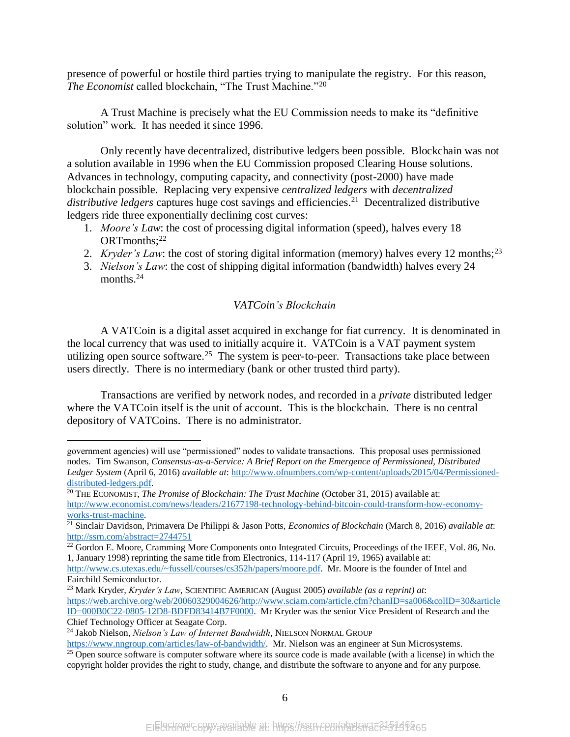presence of powerful or hostile third parties trying to manipulate the registry. For this reason, *The Economist* called blockchain, "The Trust Machine."<sup>20</sup>

A Trust Machine is precisely what the EU Commission needs to make its "definitive solution" work. It has needed it since 1996.

Only recently have decentralized, distributive ledgers been possible. Blockchain was not a solution available in 1996 when the EU Commission proposed Clearing House solutions. Advances in technology, computing capacity, and connectivity (post-2000) have made blockchain possible. Replacing very expensive *centralized ledgers* with *decentralized*  distributive ledgers captures huge cost savings and efficiencies.<sup>21</sup> Decentralized distributive ledgers ride three exponentially declining cost curves:

- 1. *Moore's Law*: the cost of processing digital information (speed), halves every 18 ORTmonths:<sup>22</sup>
- 2. *Kryder's Law*: the cost of storing digital information (memory) halves every 12 months;<sup>23</sup>
- 3. *Nielson's Law*: the cost of shipping digital information (bandwidth) halves every 24 months<sup>24</sup>

#### *VATCoin's Blockchain*

A VATCoin is a digital asset acquired in exchange for fiat currency. It is denominated in the local currency that was used to initially acquire it. VATCoin is a VAT payment system utilizing open source software.<sup>25</sup> The system is peer-to-peer. Transactions take place between users directly. There is no intermediary (bank or other trusted third party).

Transactions are verified by network nodes, and recorded in a *private* distributed ledger where the VATCoin itself is the unit of account. This is the blockchain. There is no central depository of VATCoins. There is no administrator.

government agencies) will use "permissioned" nodes to validate transactions. This proposal uses permissioned nodes. Tim Swanson, *Consensus-as-a-Service: A Brief Report on the Emergence of Permissioned, Distributed Ledger System* (April 6, 2016) *available at*[: http://www.ofnumbers.com/wp-content/uploads/2015/04/Permissioned](http://www.ofnumbers.com/wp-content/uploads/2015/04/Permissioned-distributed-ledgers.pdf)[distributed-ledgers.pdf.](http://www.ofnumbers.com/wp-content/uploads/2015/04/Permissioned-distributed-ledgers.pdf)

<sup>20</sup> THE ECONOMIST, *The Promise of Blockchain: The Trust Machine* (October 31, 2015) available at: [http://www.economist.com/news/leaders/21677198-technology-behind-bitcoin-could-transform-how-economy](http://www.economist.com/news/leaders/21677198-technology-behind-bitcoin-could-transform-how-economy-works-trust-machine)[works-trust-machine.](http://www.economist.com/news/leaders/21677198-technology-behind-bitcoin-could-transform-how-economy-works-trust-machine)

<sup>21</sup> Sinclair Davidson, Primavera De Philippi & Jason Potts, *Economics of Blockchain* (March 8, 2016) *available at*: <http://ssrn.com/abstract=2744751>

<sup>&</sup>lt;sup>22</sup> Gordon E. Moore, Cramming More Components onto Integrated Circuits, Proceedings of the IEEE, Vol. 86, No. 1, January 1998) reprinting the same title from Electronics, 114-117 (April 19, 1965) available at:

[http://www.cs.utexas.edu/~fussell/courses/cs352h/papers/moore.pdf.](http://www.cs.utexas.edu/~fussell/courses/cs352h/papers/moore.pdf) Mr. Moore is the founder of Intel and Fairchild Semiconductor.

<sup>23</sup> Mark Kryder, *Kryder's Law*, SCIENTIFIC AMERICAN (August 2005) *available (as a reprint) at*: [https://web.archive.org/web/20060329004626/http://www.sciam.com/article.cfm?chanID=sa006&colID=30&article](https://web.archive.org/web/20060329004626/http:/www.sciam.com/article.cfm?chanID=sa006&colID=30&articleID=000B0C22-0805-12D8-BDFD83414B7F0000) [ID=000B0C22-0805-12D8-BDFD83414B7F0000.](https://web.archive.org/web/20060329004626/http:/www.sciam.com/article.cfm?chanID=sa006&colID=30&articleID=000B0C22-0805-12D8-BDFD83414B7F0000) Mr Kryder was the senior Vice President of Research and the Chief Technology Officer at Seagate Corp.

<sup>&</sup>lt;sup>24</sup> Jakob Nielson, *Nielson's Law of Internet Bandwidth*, NIELSON NORMAL GROUP

[https://www.nngroup.com/articles/law-of-bandwidth/.](https://www.nngroup.com/articles/law-of-bandwidth/) Mr. Nielson was an engineer at Sun Microsystems.

<sup>&</sup>lt;sup>25</sup> Open source software is computer software where its source code is made available (with a license) in which the copyright holder provides the right to study, change, and distribute the software to anyone and for any purpose.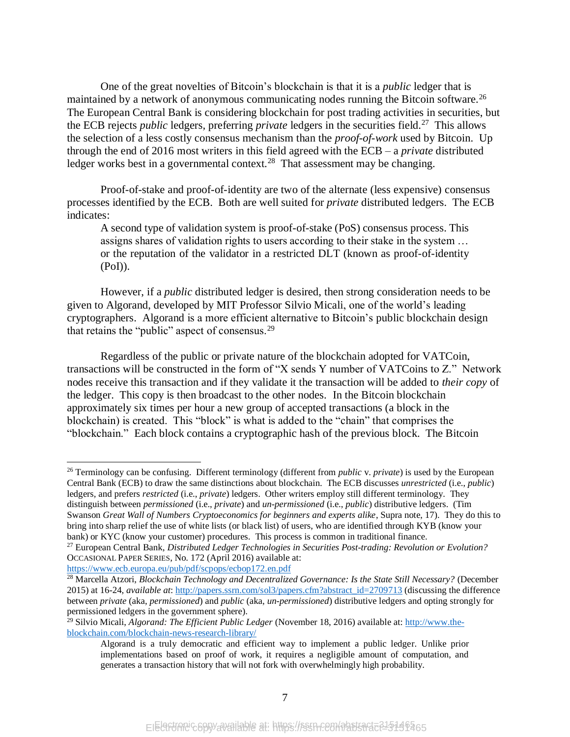One of the great novelties of Bitcoin's blockchain is that it is a *public* ledger that is maintained by a network of anonymous communicating nodes running the Bitcoin software.<sup>26</sup> The European Central Bank is considering blockchain for post trading activities in securities, but the ECB rejects *public* ledgers*,* preferring *private* ledgers in the securities field.<sup>27</sup> This allows the selection of a less costly consensus mechanism than the *proof-of-work* used by Bitcoin. Up through the end of 2016 most writers in this field agreed with the ECB – a *private* distributed ledger works best in a governmental context.<sup>28</sup> That assessment may be changing.

Proof-of-stake and proof-of-identity are two of the alternate (less expensive) consensus processes identified by the ECB. Both are well suited for *private* distributed ledgers. The ECB indicates:

A second type of validation system is proof-of-stake (PoS) consensus process. This assigns shares of validation rights to users according to their stake in the system … or the reputation of the validator in a restricted DLT (known as proof-of-identity (PoI)).

However, if a *public* distributed ledger is desired, then strong consideration needs to be given to Algorand, developed by MIT Professor Silvio Micali, one of the world's leading cryptographers. Algorand is a more efficient alternative to Bitcoin's public blockchain design that retains the "public" aspect of consensus.<sup>29</sup>

Regardless of the public or private nature of the blockchain adopted for VATCoin, transactions will be constructed in the form of "X sends Y number of VATCoins to Z." Network nodes receive this transaction and if they validate it the transaction will be added to *their copy* of the ledger. This copy is then broadcast to the other nodes. In the Bitcoin blockchain approximately six times per hour a new group of accepted transactions (a block in the blockchain) is created. This "block" is what is added to the "chain" that comprises the "blockchain." Each block contains a cryptographic hash of the previous block. The Bitcoin

<sup>26</sup> Terminology can be confusing. Different terminology (different from *public* v. *private*) is used by the European Central Bank (ECB) to draw the same distinctions about blockchain. The ECB discusses *unrestricted* (i.e., *public*) ledgers*,* and prefers *restricted* (i.e., *private*) ledgers. Other writers employ still different terminology. They distinguish between *permissioned* (i.e., *private*) and *un-permissioned* (i.e., *public*) distributive ledgers. (Tim Swanson *Great Wall of Numbers Cryptoeconomics for beginners and experts alike*, Supra note[, 17\)](#page-6-0). They do this to bring into sharp relief the use of white lists (or black list) of users, who are identified through KYB (know your bank) or KYC (know your customer) procedures. This process is common in traditional finance.

<https://www.ecb.europa.eu/pub/pdf/scpops/ecbop172.en.pdf>

<sup>27</sup> European Central Bank, *Distributed Ledger Technologies in Securities Post-trading: Revolution or Evolution?* OCCASIONAL PAPER SERIES, No. 172 (April 2016) available at:

<sup>28</sup> Marcella Atzori, *Blockchain Technology and Decentralized Governance: Is the State Still Necessary?* (December 2015) at 16-24, *available at*[: http://papers.ssrn.com/sol3/papers.cfm?abstract\\_id=2709713](http://papers.ssrn.com/sol3/papers.cfm?abstract_id=2709713) (discussing the difference between *private* (aka, *permissioned*) and *public* (aka, *un-permissioned*) distributive ledgers and opting strongly for permissioned ledgers in the government sphere).

<sup>29</sup> Silvio Micali, *Algorand: The Efficient Public Ledger* (November 18, 2016) available at: [http://www.the](http://www.the-blockchain.com/blockchain-news-research-library/)[blockchain.com/blockchain-news-research-library/](http://www.the-blockchain.com/blockchain-news-research-library/)

Algorand is a truly democratic and efficient way to implement a public ledger. Unlike prior implementations based on proof of work, it requires a negligible amount of computation, and generates a transaction history that will not fork with overwhelmingly high probability.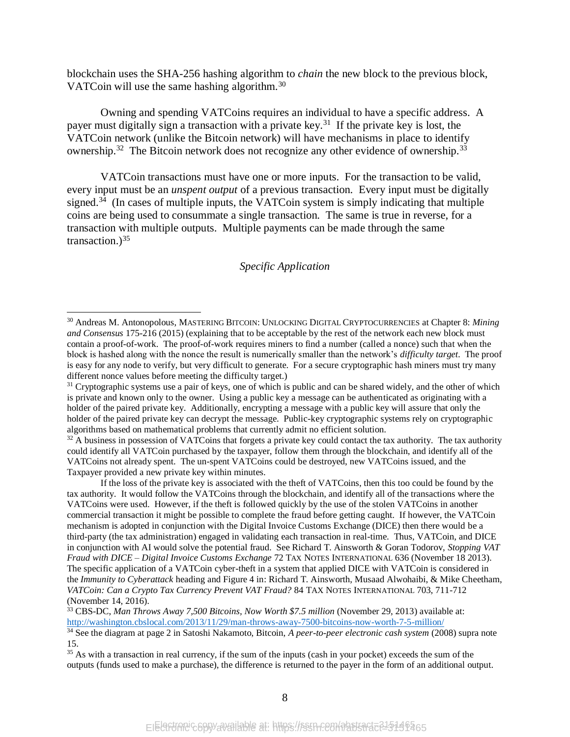blockchain uses the SHA-256 hashing algorithm to *chain* the new block to the previous block, VATCoin will use the same hashing algorithm.<sup>30</sup>

Owning and spending VATCoins requires an individual to have a specific address. A payer must digitally sign a transaction with a private key.<sup>31</sup> If the private key is lost, the VATCoin network (unlike the Bitcoin network) will have mechanisms in place to identify ownership.<sup>32</sup> The Bitcoin network does not recognize any other evidence of ownership.<sup>33</sup>

VATCoin transactions must have one or more inputs. For the transaction to be valid, every input must be an *unspent output* of a previous transaction. Every input must be digitally signed.<sup>34</sup> (In cases of multiple inputs, the VATCoin system is simply indicating that multiple coins are being used to consummate a single transaction. The same is true in reverse, for a transaction with multiple outputs. Multiple payments can be made through the same transaction.) $35$ 

#### *Specific Application*

<sup>30</sup> Andreas M. Antonopolous, MASTERING BITCOIN: UNLOCKING DIGITAL CRYPTOCURRENCIES at Chapter 8: *Mining and Consensus* 175-216 (2015) (explaining that to be acceptable by the rest of the network each new block must contain a proof-of-work. The proof-of-work requires miners to find a number (called a nonce) such that when the block is hashed along with the nonce the result is numerically smaller than the network's *difficulty target*. The proof is easy for any node to verify, but very difficult to generate. For a secure cryptographic hash miners must try many different nonce values before meeting the difficulty target.)

 $31$  Cryptographic systems use a pair of keys, one of which is public and can be shared widely, and the other of which is private and known only to the owner. Using a public key a message can be authenticated as originating with a holder of the paired private key. Additionally, encrypting a message with a public key will assure that only the holder of the paired private key can decrypt the message. Public-key cryptographic systems rely on cryptographic algorithms based on mathematical problems that currently admit no efficient solution.

<sup>&</sup>lt;sup>32</sup> A business in possession of VATCoins that forgets a private key could contact the tax authority. The tax authority could identify all VATCoin purchased by the taxpayer, follow them through the blockchain, and identify all of the VATCoins not already spent. The un-spent VATCoins could be destroyed, new VATCoins issued, and the Taxpayer provided a new private key within minutes.

If the loss of the private key is associated with the theft of VATCoins, then this too could be found by the tax authority. It would follow the VATCoins through the blockchain, and identify all of the transactions where the VATCoins were used. However, if the theft is followed quickly by the use of the stolen VATCoins in another commercial transaction it might be possible to complete the fraud before getting caught. If however, the VATCoin mechanism is adopted in conjunction with the Digital Invoice Customs Exchange (DICE) then there would be a third-party (the tax administration) engaged in validating each transaction in real-time. Thus, VATCoin, and DICE in conjunction with AI would solve the potential fraud. See Richard T. Ainsworth & Goran Todorov, *Stopping VAT Fraud with DICE – Digital Invoice Customs Exchange* 72 TAX NOTES INTERNATIONAL 636 (November 18 2013). The specific application of a VATCoin cyber-theft in a system that applied DICE with VATCoin is considered in the *Immunity to Cyberattack* heading and Figure 4 in: Richard T. Ainsworth, Musaad Alwohaibi, & Mike Cheetham, *VATCoin: Can a Crypto Tax Currency Prevent VAT Fraud?* 84 TAX NOTES INTERNATIONAL 703, 711-712 (November 14, 2016).

<sup>33</sup> CBS-DC, *Man Throws Away 7,500 Bitcoins, Now Worth \$7.5 million* (November 29, 2013) available at: <http://washington.cbslocal.com/2013/11/29/man-throws-away-7500-bitcoins-now-worth-7-5-million/>

<sup>34</sup> See the diagram at page 2 in Satoshi Nakamoto, Bitcoin, *A peer-to-peer electronic cash system* (2008) supra note [15.](#page-5-0)

<sup>&</sup>lt;sup>35</sup> As with a transaction in real currency, if the sum of the inputs (cash in your pocket) exceeds the sum of the outputs (funds used to make a purchase), the difference is returned to the payer in the form of an additional output.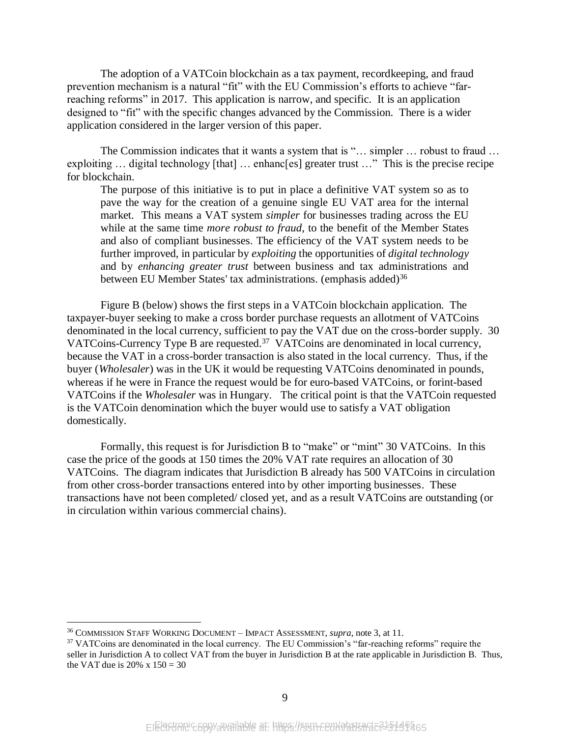The adoption of a VATCoin blockchain as a tax payment, recordkeeping, and fraud prevention mechanism is a natural "fit" with the EU Commission's efforts to achieve "farreaching reforms" in 2017. This application is narrow, and specific. It is an application designed to "fit" with the specific changes advanced by the Commission. There is a wider application considered in the larger version of this paper.

The Commission indicates that it wants a system that is "... simpler ... robust to fraud ... exploiting ... digital technology [that] ... enhanc[es] greater trust ..." This is the precise recipe for blockchain.

The purpose of this initiative is to put in place a definitive VAT system so as to pave the way for the creation of a genuine single EU VAT area for the internal market. This means a VAT system *simpler* for businesses trading across the EU while at the same time *more robust to fraud*, to the benefit of the Member States and also of compliant businesses. The efficiency of the VAT system needs to be further improved, in particular by *exploiting* the opportunities of *digital technology* and by *enhancing greater trust* between business and tax administrations and between EU Member States' tax administrations. (emphasis added)<sup>36</sup>

Figure B (below) shows the first steps in a VATCoin blockchain application. The taxpayer-buyer seeking to make a cross border purchase requests an allotment of VATCoins denominated in the local currency, sufficient to pay the VAT due on the cross-border supply. 30 VATCoins-Currency Type B are requested.<sup>37</sup> VATCoins are denominated in local currency, because the VAT in a cross-border transaction is also stated in the local currency. Thus, if the buyer (*Wholesaler*) was in the UK it would be requesting VATCoins denominated in pounds, whereas if he were in France the request would be for euro-based VATCoins, or forint-based VATCoins if the *Wholesaler* was in Hungary. The critical point is that the VATCoin requested is the VATCoin denomination which the buyer would use to satisfy a VAT obligation domestically.

Formally, this request is for Jurisdiction B to "make" or "mint" 30 VATCoins. In this case the price of the goods at 150 times the 20% VAT rate requires an allocation of 30 VATCoins. The diagram indicates that Jurisdiction B already has 500 VATCoins in circulation from other cross-border transactions entered into by other importing businesses. These transactions have not been completed/ closed yet, and as a result VATCoins are outstanding (or in circulation within various commercial chains).

<sup>36</sup> COMMISSION STAFF WORKING DOCUMENT – IMPACT ASSESSMENT, *supra*, note [3,](#page-2-0) at 11.

<sup>&</sup>lt;sup>37</sup> VATCoins are denominated in the local currency. The EU Commission's "far-reaching reforms" require the seller in Jurisdiction A to collect VAT from the buyer in Jurisdiction B at the rate applicable in Jurisdiction B. Thus, the VAT due is  $20\% \times 150 = 30$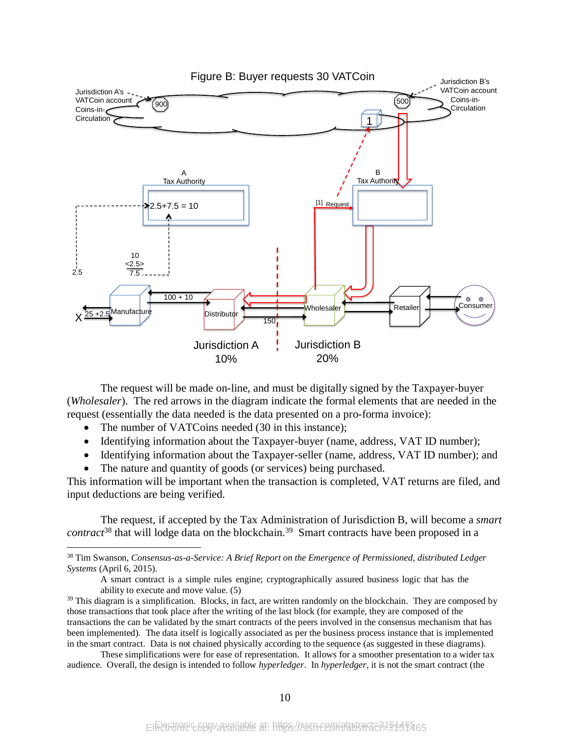

The request will be made on-line, and must be digitally signed by the Taxpayer-buyer (*Wholesaler*). The red arrows in the diagram indicate the formal elements that are needed in the request (essentially the data needed is the data presented on a pro-forma invoice):

The number of VATCoins needed (30 in this instance);

 $\overline{a}$ 

- Identifying information about the Taxpayer-buyer (name, address, VAT ID number);
- Identifying information about the Taxpayer-seller (name, address, VAT ID number); and
- The nature and quantity of goods (or services) being purchased.

This information will be important when the transaction is completed, VAT returns are filed, and input deductions are being verified.

The request, if accepted by the Tax Administration of Jurisdiction B, will become a *smart contract*<sup>38</sup> that will lodge data on the blockchain. <sup>39</sup> Smart contracts have been proposed in a

<sup>38</sup> Tim Swanson, *Consensus-as-a-Service: A Brief Report on the Emergence of Permissioned, distributed Ledger Systems* (April 6, 2015).

A smart contract is a simple rules engine; cryptographically assured business logic that has the ability to execute and move value. (5)

 $39$  This diagram is a simplification. Blocks, in fact, are written randomly on the blockchain. They are composed by those transactions that took place after the writing of the last block (for example, they are composed of the transactions the can be validated by the smart contracts of the peers involved in the consensus mechanism that has been implemented). The data itself is logically associated as per the business process instance that is implemented in the smart contract. Data is not chained physically according to the sequence (as suggested in these diagrams).

These simplifications were for ease of representation. It allows for a smoother presentation to a wider tax audience. Overall, the design is intended to follow *hyperledger*. In *hyperledger*, it is not the smart contract (the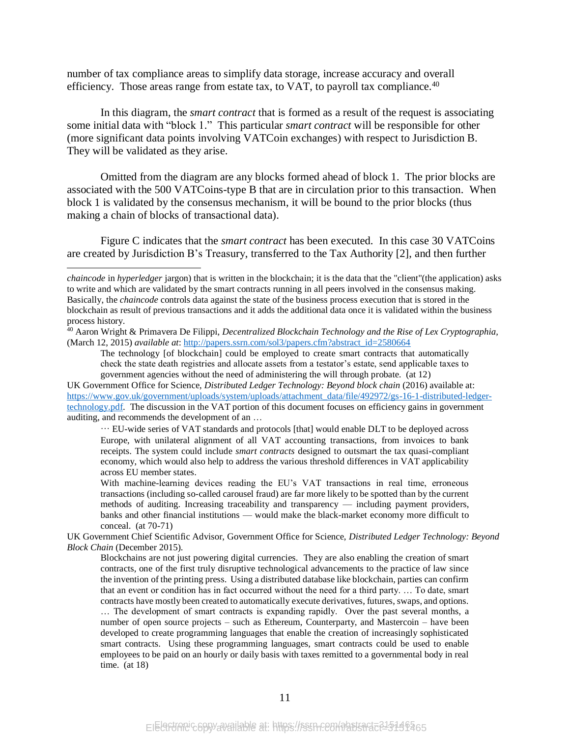number of tax compliance areas to simplify data storage, increase accuracy and overall efficiency. Those areas range from estate tax, to VAT, to payroll tax compliance. $40$ 

In this diagram, the *smart contract* that is formed as a result of the request is associating some initial data with "block 1." This particular *smart contract* will be responsible for other (more significant data points involving VATCoin exchanges) with respect to Jurisdiction B. They will be validated as they arise.

Omitted from the diagram are any blocks formed ahead of block 1. The prior blocks are associated with the 500 VATCoins-type B that are in circulation prior to this transaction. When block 1 is validated by the consensus mechanism, it will be bound to the prior blocks (thus making a chain of blocks of transactional data).

Figure C indicates that the *smart contract* has been executed. In this case 30 VATCoins are created by Jurisdiction B's Treasury, transferred to the Tax Authority [2], and then further

 $\overline{a}$ 

… EU-wide series of VAT standards and protocols [that] would enable DLT to be deployed across Europe, with unilateral alignment of all VAT accounting transactions, from invoices to bank receipts. The system could include *smart contracts* designed to outsmart the tax quasi-compliant economy, which would also help to address the various threshold differences in VAT applicability across EU member states.

With machine-learning devices reading the EU's VAT transactions in real time, erroneous transactions (including so-called carousel fraud) are far more likely to be spotted than by the current methods of auditing. Increasing traceability and transparency — including payment providers, banks and other financial institutions — would make the black-market economy more difficult to conceal. (at 70-71)

UK Government Chief Scientific Advisor, Government Office for Science, *Distributed Ledger Technology: Beyond Block Chain* (December 2015).

Blockchains are not just powering digital currencies. They are also enabling the creation of smart contracts, one of the first truly disruptive technological advancements to the practice of law since the invention of the printing press. Using a distributed database like blockchain, parties can confirm that an event or condition has in fact occurred without the need for a third party. … To date, smart contracts have mostly been created to automatically execute derivatives, futures, swaps, and options.

… The development of smart contracts is expanding rapidly. Over the past several months, a number of open source projects – such as Ethereum, Counterparty, and Mastercoin – have been developed to create programming languages that enable the creation of increasingly sophisticated smart contracts. Using these programming languages, smart contracts could be used to enable employees to be paid on an hourly or daily basis with taxes remitted to a governmental body in real time. (at 18)

*chaincode* in *hyperledger* jargon) that is written in the blockchain; it is the data that the "client"(the application) asks to write and which are validated by the smart contracts running in all peers involved in the consensus making. Basically, the *chaincode* controls data against the state of the business process execution that is stored in the blockchain as result of previous transactions and it adds the additional data once it is validated within the business process history.

<sup>40</sup> Aaron Wright & Primavera De Filippi, *Decentralized Blockchain Technology and the Rise of Lex Cryptographia,* (March 12, 2015) *available at*: [http://papers.ssrn.com/sol3/papers.cfm?abstract\\_id=2580664](http://papers.ssrn.com/sol3/papers.cfm?abstract_id=2580664)

The technology [of blockchain] could be employed to create smart contracts that automatically check the state death registries and allocate assets from a testator's estate, send applicable taxes to government agencies without the need of administering the will through probate. (at 12)

UK Government Office for Science, *Distributed Ledger Technology: Beyond block chain* (2016) available at: [https://www.gov.uk/government/uploads/system/uploads/attachment\\_data/file/492972/gs-16-1-distributed-ledger](https://www.gov.uk/government/uploads/system/uploads/attachment_data/file/492972/gs-16-1-distributed-ledger-technology.pdf)[technology.pdf.](https://www.gov.uk/government/uploads/system/uploads/attachment_data/file/492972/gs-16-1-distributed-ledger-technology.pdf) The discussion in the VAT portion of this document focuses on efficiency gains in government auditing, and recommends the development of an …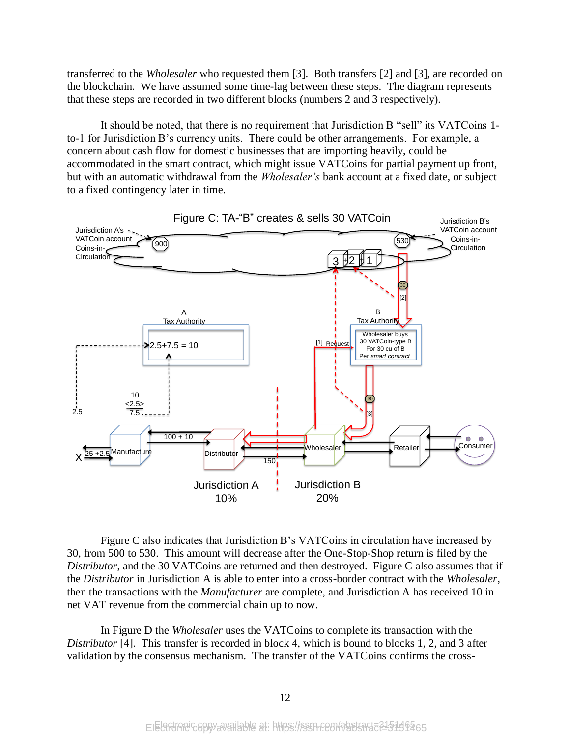transferred to the *Wholesaler* who requested them [3]. Both transfers [2] and [3], are recorded on the blockchain. We have assumed some time-lag between these steps. The diagram represents that these steps are recorded in two different blocks (numbers 2 and 3 respectively).

It should be noted, that there is no requirement that Jurisdiction B "sell" its VATCoins 1 to-1 for Jurisdiction B's currency units. There could be other arrangements. For example, a concern about cash flow for domestic businesses that are importing heavily, could be accommodated in the smart contract, which might issue VATCoins for partial payment up front, but with an automatic withdrawal from the *Wholesaler's* bank account at a fixed date, or subject to a fixed contingency later in time.



Figure C also indicates that Jurisdiction B's VATCoins in circulation have increased by 30, from 500 to 530. This amount will decrease after the One-Stop-Shop return is filed by the *Distributor*, and the 30 VATCoins are returned and then destroyed. Figure C also assumes that if the *Distributor* in Jurisdiction A is able to enter into a cross-border contract with the *Wholesaler*, then the transactions with the *Manufacturer* are complete, and Jurisdiction A has received 10 in net VAT revenue from the commercial chain up to now.

In Figure D the *Wholesaler* uses the VATCoins to complete its transaction with the *Distributor* [4]. This transfer is recorded in block 4, which is bound to blocks 1, 2, and 3 after validation by the consensus mechanism. The transfer of the VATCoins confirms the cross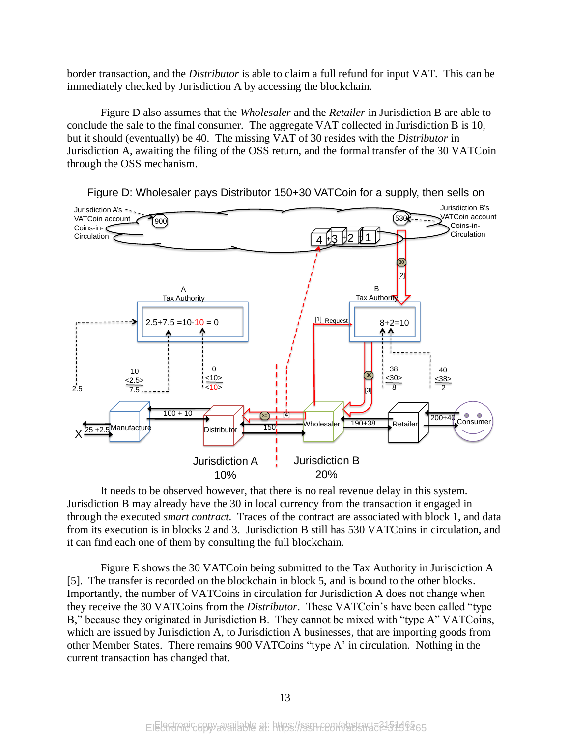border transaction, and the *Distributor* is able to claim a full refund for input VAT. This can be immediately checked by Jurisdiction A by accessing the blockchain.

Figure D also assumes that the *Wholesaler* and the *Retailer* in Jurisdiction B are able to conclude the sale to the final consumer. The aggregate VAT collected in Jurisdiction B is 10, but it should (eventually) be 40. The missing VAT of 30 resides with the *Distributor* in Jurisdiction A, awaiting the filing of the OSS return, and the formal transfer of the 30 VATCoin through the OSS mechanism.



Figure D: Wholesaler pays Distributor 150+30 VATCoin for a supply, then sells on

It needs to be observed however, that there is no real revenue delay in this system. Jurisdiction B may already have the 30 in local currency from the transaction it engaged in through the executed *smart contract*. Traces of the contract are associated with block 1, and data from its execution is in blocks 2 and 3. Jurisdiction B still has 530 VATCoins in circulation, and it can find each one of them by consulting the full blockchain.

Figure E shows the 30 VATCoin being submitted to the Tax Authority in Jurisdiction A [5]. The transfer is recorded on the blockchain in block 5, and is bound to the other blocks. Importantly, the number of VATCoins in circulation for Jurisdiction A does not change when they receive the 30 VATCoins from the *Distributor*. These VATCoin's have been called "type B," because they originated in Jurisdiction B. They cannot be mixed with "type A" VATCoins, which are issued by Jurisdiction A, to Jurisdiction A businesses, that are importing goods from other Member States. There remains 900 VATCoins "type A' in circulation. Nothing in the current transaction has changed that.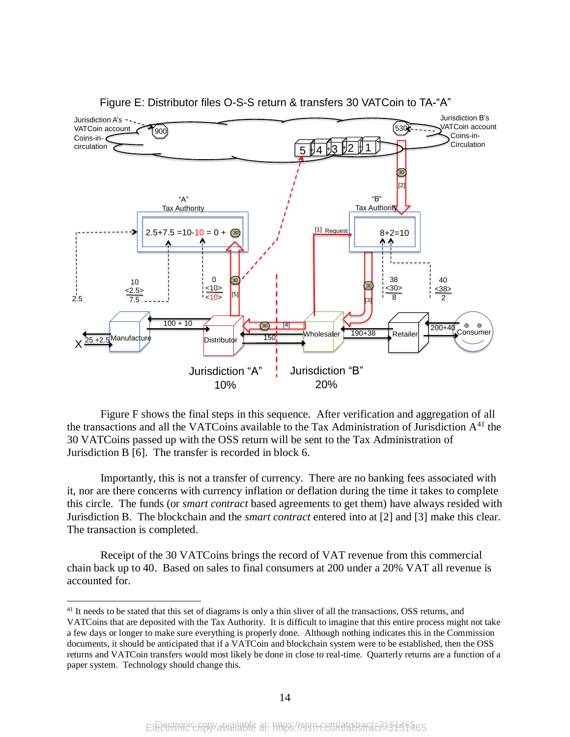

Figure E: Distributor files O-S-S return & transfers 30 VATCoin to TA-"A"

Figure F shows the final steps in this sequence. After verification and aggregation of all the transactions and all the VATCoins available to the Tax Administration of Jurisdiction  $A<sup>41</sup>$  the 30 VATCoins passed up with the OSS return will be sent to the Tax Administration of Jurisdiction B [6]. The transfer is recorded in block 6.

Importantly, this is not a transfer of currency. There are no banking fees associated with it, nor are there concerns with currency inflation or deflation during the time it takes to complete this circle. The funds (or *smart contract* based agreements to get them) have always resided with Jurisdiction B. The blockchain and the *smart contract* entered into at [2] and [3] make this clear. The transaction is completed.

Receipt of the 30 VATCoins brings the record of VAT revenue from this commercial chain back up to 40. Based on sales to final consumers at 200 under a 20% VAT all revenue is accounted for.

<sup>&</sup>lt;sup>41</sup> It needs to be stated that this set of diagrams is only a thin sliver of all the transactions, OSS returns, and VATCoins that are deposited with the Tax Authority. It is difficult to imagine that this entire process might not take a few days or longer to make sure everything is properly done. Although nothing indicates this in the Commission documents, it should be anticipated that if a VATCoin and blockchain system were to be established, then the OSS returns and VATCoin transfers would most likely be done in close to real-time. Quarterly returns are a function of a paper system. Technology should change this.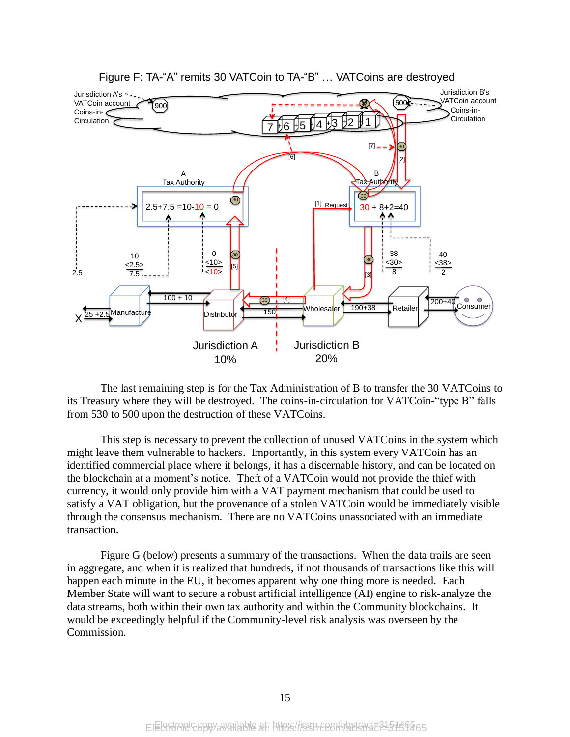

Figure F: TA-"A" remits 30 VATCoin to TA-"B" … VATCoins are destroyed

The last remaining step is for the Tax Administration of B to transfer the 30 VATCoins to its Treasury where they will be destroyed. The coins-in-circulation for VATCoin-"type B" falls from 530 to 500 upon the destruction of these VATCoins.

This step is necessary to prevent the collection of unused VATCoins in the system which might leave them vulnerable to hackers. Importantly, in this system every VATCoin has an identified commercial place where it belongs, it has a discernable history, and can be located on the blockchain at a moment's notice. Theft of a VATCoin would not provide the thief with currency, it would only provide him with a VAT payment mechanism that could be used to satisfy a VAT obligation, but the provenance of a stolen VATCoin would be immediately visible through the consensus mechanism. There are no VATCoins unassociated with an immediate transaction.

Figure G (below) presents a summary of the transactions. When the data trails are seen in aggregate, and when it is realized that hundreds, if not thousands of transactions like this will happen each minute in the EU, it becomes apparent why one thing more is needed. Each Member State will want to secure a robust artificial intelligence (AI) engine to risk-analyze the data streams, both within their own tax authority and within the Community blockchains. It would be exceedingly helpful if the Community-level risk analysis was overseen by the Commission.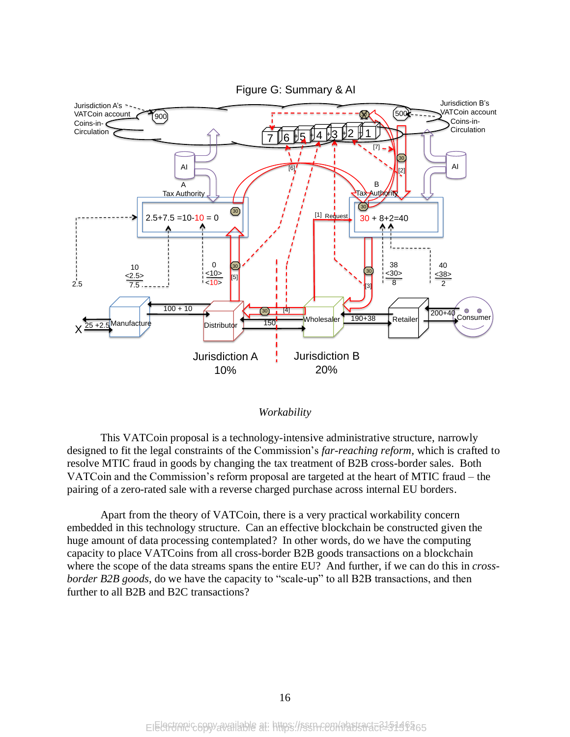



This VATCoin proposal is a technology-intensive administrative structure, narrowly designed to fit the legal constraints of the Commission's *far-reaching reform,* which is crafted to resolve MTIC fraud in goods by changing the tax treatment of B2B cross-border sales. Both VATCoin and the Commission's reform proposal are targeted at the heart of MTIC fraud – the pairing of a zero-rated sale with a reverse charged purchase across internal EU borders.

Apart from the theory of VATCoin, there is a very practical workability concern embedded in this technology structure. Can an effective blockchain be constructed given the huge amount of data processing contemplated? In other words, do we have the computing capacity to place VATCoins from all cross-border B2B goods transactions on a blockchain where the scope of the data streams spans the entire EU? And further, if we can do this in *crossborder B2B goods*, do we have the capacity to "scale-up" to all B2B transactions, and then further to all B2B and B2C transactions?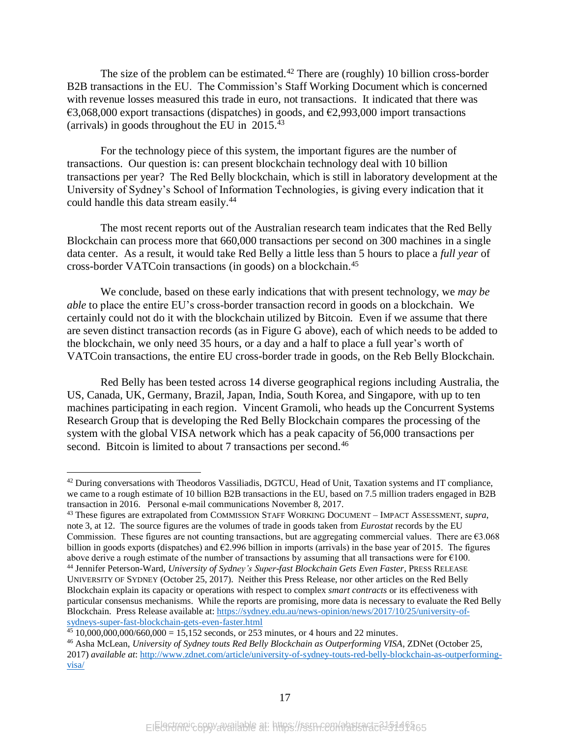The size of the problem can be estimated.<sup>42</sup> There are (roughly) 10 billion cross-border B2B transactions in the EU. The Commission's Staff Working Document which is concerned with revenue losses measured this trade in euro, not transactions. It indicated that there was  $\epsilon$ 3,068,000 export transactions (dispatches) in goods, and  $\epsilon$ 2,993,000 import transactions (arrivals) in goods throughout the EU in 2015. 43

For the technology piece of this system, the important figures are the number of transactions. Our question is: can present blockchain technology deal with 10 billion transactions per year? The Red Belly blockchain, which is still in laboratory development at the University of Sydney's School of Information Technologies, is giving every indication that it could handle this data stream easily. 44

The most recent reports out of the Australian research team indicates that the Red Belly Blockchain can process more that 660,000 transactions per second on 300 machines in a single data center. As a result, it would take Red Belly a little less than 5 hours to place a *full year* of cross-border VATCoin transactions (in goods) on a blockchain. 45

We conclude, based on these early indications that with present technology, we *may be able* to place the entire EU's cross-border transaction record in goods on a blockchain. We certainly could not do it with the blockchain utilized by Bitcoin. Even if we assume that there are seven distinct transaction records (as in Figure G above), each of which needs to be added to the blockchain, we only need 35 hours, or a day and a half to place a full year's worth of VATCoin transactions, the entire EU cross-border trade in goods, on the Reb Belly Blockchain.

Red Belly has been tested across 14 diverse geographical regions including Australia, the US, Canada, UK, Germany, Brazil, Japan, India, South Korea, and Singapore, with up to ten machines participating in each region. Vincent Gramoli, who heads up the Concurrent Systems Research Group that is developing the Red Belly Blockchain compares the processing of the system with the global VISA network which has a peak capacity of 56,000 transactions per second. Bitcoin is limited to about 7 transactions per second.<sup>46</sup>

<sup>&</sup>lt;sup>42</sup> During conversations with Theodoros Vassiliadis, DGTCU, Head of Unit, Taxation systems and IT compliance, we came to a rough estimate of 10 billion B2B transactions in the EU, based on 7.5 million traders engaged in B2B transaction in 2016. Personal e-mail communications November 8, 2017.

<sup>43</sup> These figures are extrapolated from COMMISSION STAFF WORKING DOCUMENT – IMPACT ASSESSMENT, *supra*, not[e 3,](#page-2-0) at 12. The source figures are the volumes of trade in goods taken from *Eurostat* records by the EU Commission. These figures are not counting transactions, but are aggregating commercial values. There are  $\epsilon$ 3.068 billion in goods exports (dispatches) and €2.996 billion in imports (arrivals) in the base year of 2015. The figures above derive a rough estimate of the number of transactions by assuming that all transactions were for  $\epsilon$ 100. <sup>44</sup> Jennifer Peterson-Ward, *University of Sydney's Super-fast Blockchain Gets Even Faster*, PRESS RELEASE UNIVERSITY OF SYDNEY (October 25, 2017). Neither this Press Release, nor other articles on the Red Belly Blockchain explain its capacity or operations with respect to complex *smart contracts* or its effectiveness with particular consensus mechanisms. While the reports are promising, more data is necessary to evaluate the Red Belly Blockchain. Press Release available at: [https://sydney.edu.au/news-opinion/news/2017/10/25/university-of](https://sydney.edu.au/news-opinion/news/2017/10/25/university-of-sydneys-super-fast-blockchain-gets-even-faster.html)[sydneys-super-fast-blockchain-gets-even-faster.html](https://sydney.edu.au/news-opinion/news/2017/10/25/university-of-sydneys-super-fast-blockchain-gets-even-faster.html)

 $45\overline{10,000,000,000/660,000} = 15,152$  seconds, or 253 minutes, or 4 hours and 22 minutes.

<sup>46</sup> Asha McLean, *University of Sydney touts Red Belly Blockchain as Outperforming VISA*, ZDNet (October 25, 2017) *available at*[: http://www.zdnet.com/article/university-of-sydney-touts-red-belly-blockchain-as-outperforming](http://www.zdnet.com/article/university-of-sydney-touts-red-belly-blockchain-as-outperforming-visa/)[visa/](http://www.zdnet.com/article/university-of-sydney-touts-red-belly-blockchain-as-outperforming-visa/)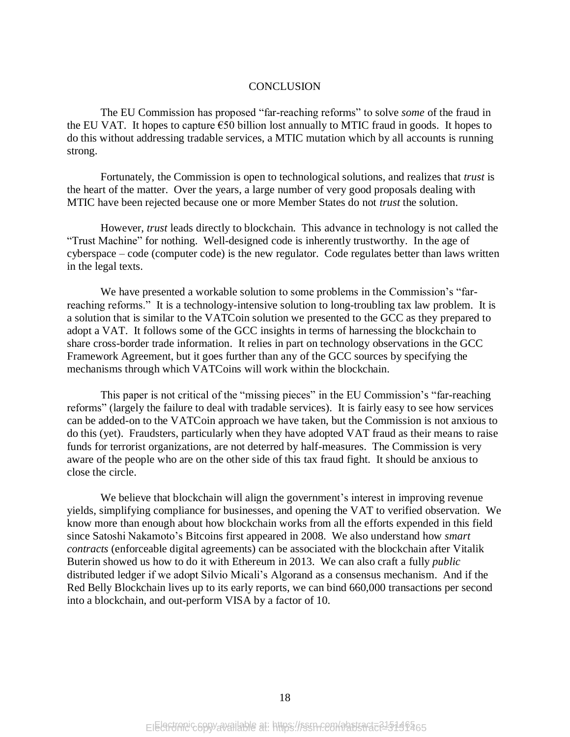#### **CONCLUSION**

The EU Commission has proposed "far-reaching reforms" to solve *some* of the fraud in the EU VAT. It hopes to capture  $\epsilon$ 50 billion lost annually to MTIC fraud in goods. It hopes to do this without addressing tradable services, a MTIC mutation which by all accounts is running strong.

Fortunately, the Commission is open to technological solutions, and realizes that *trust* is the heart of the matter. Over the years, a large number of very good proposals dealing with MTIC have been rejected because one or more Member States do not *trust* the solution.

However, *trust* leads directly to blockchain. This advance in technology is not called the "Trust Machine" for nothing. Well-designed code is inherently trustworthy. In the age of cyberspace – code (computer code) is the new regulator. Code regulates better than laws written in the legal texts.

We have presented a workable solution to some problems in the Commission's "farreaching reforms." It is a technology-intensive solution to long-troubling tax law problem. It is a solution that is similar to the VATCoin solution we presented to the GCC as they prepared to adopt a VAT. It follows some of the GCC insights in terms of harnessing the blockchain to share cross-border trade information. It relies in part on technology observations in the GCC Framework Agreement, but it goes further than any of the GCC sources by specifying the mechanisms through which VATCoins will work within the blockchain.

This paper is not critical of the "missing pieces" in the EU Commission's "far-reaching reforms" (largely the failure to deal with tradable services). It is fairly easy to see how services can be added-on to the VATCoin approach we have taken, but the Commission is not anxious to do this (yet). Fraudsters, particularly when they have adopted VAT fraud as their means to raise funds for terrorist organizations, are not deterred by half-measures. The Commission is very aware of the people who are on the other side of this tax fraud fight. It should be anxious to close the circle.

We believe that blockchain will align the government's interest in improving revenue yields, simplifying compliance for businesses, and opening the VAT to verified observation. We know more than enough about how blockchain works from all the efforts expended in this field since Satoshi Nakamoto's Bitcoins first appeared in 2008. We also understand how *smart contracts* (enforceable digital agreements) can be associated with the blockchain after Vitalik Buterin showed us how to do it with Ethereum in 2013. We can also craft a fully *public* distributed ledger if we adopt Silvio Micali's Algorand as a consensus mechanism. And if the Red Belly Blockchain lives up to its early reports, we can bind 660,000 transactions per second into a blockchain, and out-perform VISA by a factor of 10.